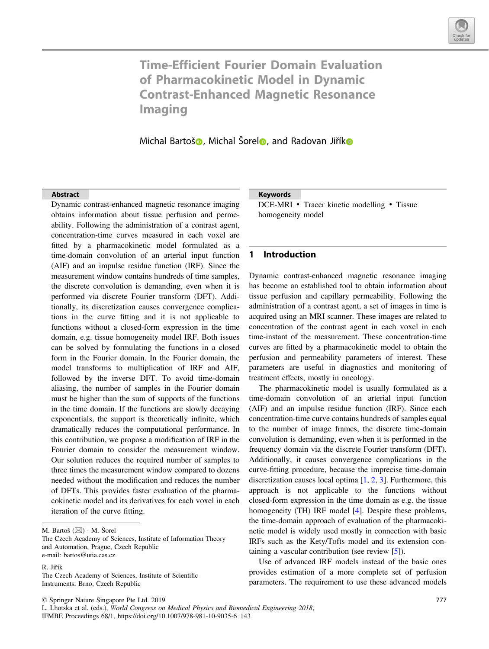

# Time-Efficient Fourier Domain Evaluation of Pharmacokinetic Model in Dynamic Contrast-Enhanced Magnetic Resonance Imaging

Michal Bartoš**o**, Michal Šorel**o**, and Radovan Jiří[k](http://orcid.org/0000-0003-2555-9428)o

#### **Abstract**

Dynamic contrast-enhanced magnetic resonance imaging obtains information about tissue perfusion and permeability. Following the administration of a contrast agent, concentration-time curves measured in each voxel are fitted by a pharmacokinetic model formulated as a time-domain convolution of an arterial input function (AIF) and an impulse residue function (IRF). Since the measurement window contains hundreds of time samples, the discrete convolution is demanding, even when it is performed via discrete Fourier transform (DFT). Additionally, its discretization causes convergence complications in the curve fitting and it is not applicable to functions without a closed-form expression in the time domain, e.g. tissue homogeneity model IRF. Both issues can be solved by formulating the functions in a closed form in the Fourier domain. In the Fourier domain, the model transforms to multiplication of IRF and AIF, followed by the inverse DFT. To avoid time-domain aliasing, the number of samples in the Fourier domain must be higher than the sum of supports of the functions in the time domain. If the functions are slowly decaying exponentials, the support is theoretically infinite, which dramatically reduces the computational performance. In this contribution, we propose a modification of IRF in the Fourier domain to consider the measurement window. Our solution reduces the required number of samples to three times the measurement window compared to dozens needed without the modification and reduces the number of DFTs. This provides faster evaluation of the pharmacokinetic model and its derivatives for each voxel in each iteration of the curve fitting.

#### Keywords

DCE-MRI • Tracer kinetic modelling • Tissue<br>homogeneity model homogeneity model

# 1 Introduction

Dynamic contrast-enhanced magnetic resonance imaging has become an established tool to obtain information about tissue perfusion and capillary permeability. Following the administration of a contrast agent, a set of images in time is acquired using an MRI scanner. These images are related to concentration of the contrast agent in each voxel in each time-instant of the measurement. These concentration-time curves are fitted by a pharmacokinetic model to obtain the perfusion and permeability parameters of interest. These parameters are useful in diagnostics and monitoring of treatment effects, mostly in oncology.

The pharmacokinetic model is usually formulated as a time-domain convolution of an arterial input function (AIF) and an impulse residue function (IRF). Since each concentration-time curve contains hundreds of samples equal to the number of image frames, the discrete time-domain convolution is demanding, even when it is performed in the frequency domain via the discrete Fourier transform (DFT). Additionally, it causes convergence complications in the curve-fitting procedure, because the imprecise time-domain discretization causes local optima [\[1](#page-4-0), [2](#page-4-0), [3](#page-4-0)]. Furthermore, this approach is not applicable to the functions without closed-form expression in the time domain as e.g. the tissue homogeneity (TH) IRF model [[4\]](#page-4-0). Despite these problems, the time-domain approach of evaluation of the pharmacokinetic model is widely used mostly in connection with basic IRFs such as the Kety/Tofts model and its extension containing a vascular contribution (see review [\[5](#page-4-0)]).

Use of advanced IRF models instead of the basic ones provides estimation of a more complete set of perfusion parameters. The requirement to use these advanced models

M. Bartoš  $(\boxtimes) \cdot$  M. Šorel

The Czech Academy of Sciences, Institute of Information Theory and Automation, Prague, Czech Republic e-mail: bartos@utia.cas.cz

R. Jiřík

The Czech Academy of Sciences, Institute of Scientific Instruments, Brno, Czech Republic

<sup>©</sup> Springer Nature Singapore Pte Ltd. 2019

L. Lhotska et al. (eds.), World Congress on Medical Physics and Biomedical Engineering 2018, IFMBE Proceedings 68/1, https://doi.org/10.1007/978-981-10-9035-6\_143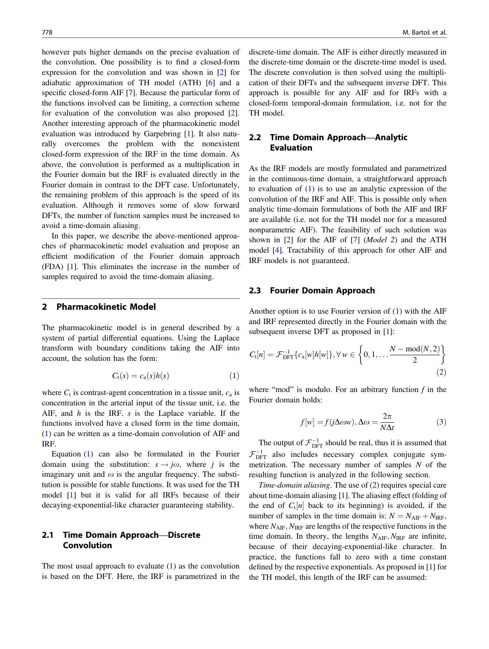<span id="page-1-0"></span>however puts higher demands on the precise evaluation of the convolution. One possibility is to find a closed-form expression for the convolution and was shown in [[2\]](#page-4-0) for adiabatic approximation of TH model (ATH) [[6\]](#page-4-0) and a specific closed-form AIF [[7\]](#page-4-0). Because the particular form of the functions involved can be limiting, a correction scheme for evaluation of the convolution was also proposed [\[2](#page-4-0)]. Another interesting approach of the pharmacokinetic model evaluation was introduced by Garpebring [[1](#page-4-0)]. It also naturally overcomes the problem with the nonexistent closed-form expression of the IRF in the time domain. As above, the convolution is performed as a multiplication in the Fourier domain but the IRF is evaluated directly in the Fourier domain in contrast to the DFT case. Unfortunately, the remaining problem of this approach is the speed of its evaluation. Although it removes some of slow forward DFTs, the number of function samples must be increased to avoid a time-domain aliasing.

In this paper, we describe the above-mentioned approaches of pharmacokinetic model evaluation and propose an efficient modification of the Fourier domain approach (FDA) [\[1](#page-4-0)]. This eliminates the increase in the number of samples required to avoid the time-domain aliasing.

## 2 Pharmacokinetic Model

The pharmacokinetic model is in general described by a system of partial differential equations. Using the Laplace transform with boundary conditions taking the AIF into account, the solution has the form:

$$
C_{t}(s) = c_{a}(s)h(s) \tag{1}
$$

where  $C_t$  is contrast-agent concentration in a tissue unit,  $c_a$  is concentration in the arterial input of the tissue unit, i.e. the AIF, and  $h$  is the IRF.  $s$  is the Laplace variable. If the functions involved have a closed form in the time domain, (1) can be written as a time-domain convolution of AIF and IRF.

Equation (1) can also be formulated in the Fourier domain using the substitution:  $s \rightarrow j\omega$ , where j is the imaginary unit and  $\omega$  is the angular frequency. The substitution is possible for stable functions. It was used for the TH model [[1\]](#page-4-0) but it is valid for all IRFs because of their decaying-exponential-like character guaranteeing stability.

# 2.1 Time Domain Approach—Discrete Convolution

The most usual approach to evaluate  $(1)$  as the convolution is based on the DFT. Here, the IRF is parametrized in the discrete-time domain. The AIF is either directly measured in the discrete-time domain or the discrete-time model is used. The discrete convolution is then solved using the multiplication of their DFTs and the subsequent inverse DFT. This approach is possible for any AIF and for IRFs with a closed-form temporal-domain formulation, i.e. not for the TH model.

# 2.2 Time Domain Approach—Analytic Evaluation

As the IRF models are mostly formulated and parametrized in the continuous-time domain, a straightforward approach to evaluation of (1) is to use an analytic expression of the convolution of the IRF and AIF. This is possible only when analytic time-domain formulations of both the AIF and IRF are available (i.e. not for the TH model nor for a measured nonparametric AIF). The feasibility of such solution was shown in  $[2]$  $[2]$  for the AIF of  $[7]$  $[7]$  (*Model 2*) and the ATH model [\[4](#page-4-0)]. Tractability of this approach for other AIF and IRF models is not guaranteed.

# 2.3 Fourier Domain Approach

Another option is to use Fourier version of (1) with the AIF and IRF represented directly in the Fourier domain with the subsequent inverse DFT as proposed in [\[1](#page-4-0)]:

$$
C_{t}[n] = \mathcal{F}_{\text{DFT}}^{-1}\{c_{a}[w]h[w]\}, \forall w \in \left\{0, 1, \dots \frac{N - \text{mod}(N, 2)}{2}\right\}
$$
\n(2)

where "mod" is modulo. For an arbitrary function  $f$  in the Fourier domain holds:

$$
f[w] = f(j\Delta\omega w), \Delta\omega = \frac{2\pi}{N\Delta t}
$$
 (3)

The output of  $\mathcal{F}_{\text{DFT}}^{-1}$  should be real, thus it is assumed that  $\mathcal{F}_{\text{DFT}}^{-1}$  also includes necessary complex conjugate sym-<br>metrization. The necessary number of samples N of the metrization. The necessary number of samples  $N$  of the resulting function is analyzed in the following section.

Time-domain aliasing. The use of (2) requires special care about time-domain aliasing [[1\]](#page-4-0). The aliasing effect (folding of the end of  $C_t[n]$  back to its beginning) is avoided, if the number of samples in the time domain is:  $N = N_{\text{AIF}} + N_{\text{IRF}}$ , where  $N_{\text{AIF}}$ ,  $N_{\text{IRF}}$  are lengths of the respective functions in the time domain. In theory, the lengths  $N_{\text{AIF}}, N_{\text{IRF}}$  are infinite, because of their decaying-exponential-like character. In practice, the functions fall to zero with a time constant defined by the respective exponentials. As proposed in [\[1](#page-4-0)] for the TH model, this length of the IRF can be assumed: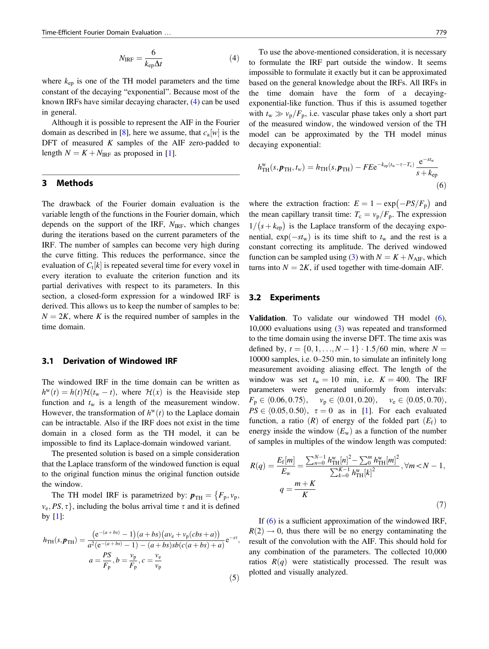$$
N_{\rm IRF} = \frac{6}{k_{\rm ep}\Delta t} \tag{4}
$$

<span id="page-2-0"></span>where  $k_{en}$  is one of the TH model parameters and the time constant of the decaying "exponential". Because most of the known IRFs have similar decaying character, [\(4](#page-1-0)) can be used in general.

Although it is possible to represent the AIF in the Fourier domain as described in [[8\]](#page-4-0), here we assume, that  $c_a[w]$  is the DFT of measured  $K$  samples of the AIF zero-padded to length  $N = K + N_{IRF}$  as proposed in [[1\]](#page-4-0).

# 3 Methods

The drawback of the Fourier domain evaluation is the variable length of the functions in the Fourier domain, which depends on the support of the IRF,  $N_{IRF}$ , which changes during the iterations based on the current parameters of the IRF. The number of samples can become very high during the curve fitting. This reduces the performance, since the evaluation of  $C_t[k]$  is repeated several time for every voxel in every iteration to evaluate the criterion function and its partial derivatives with respect to its parameters. In this section, a closed-form expression for a windowed IRF is derived. This allows us to keep the number of samples to be:  $N = 2K$ , where K is the required number of samples in the time domain.

#### 3.1 Derivation of Windowed IRF

The windowed IRF in the time domain can be written as  $h^{w}(t) = h(t) \mathcal{H}(t_{w} - t)$ , where  $\mathcal{H}(x)$  is the Heaviside step function and  $t_w$  is a length of the measurement window. However, the transformation of  $h^w(t)$  to the Laplace domain can be intractable. Also if the IRF does not exist in the time domain in a closed form as the TH model, it can be impossible to find its Laplace-domain windowed variant.

The presented solution is based on a simple consideration that the Laplace transform of the windowed function is equal to the original function minus the original function outside the window.

The TH model IRF is parametrized by:  $p_{TH} = \{F_p, v_p,$  $v_e$ ,  $PS$ ,  $\tau$ }, including the bolus arrival time  $\tau$  and it is defined by  $[1]$  $[1]$ :

$$
h_{\text{TH}}(s, \mathbf{p}_{\text{TH}}) = \frac{(e^{-(a+bs)} - 1)(a+bs)(av_{e} + v_{p}(cbs + a))}{a^{2}(e^{-(a+bs)} - 1) - (a+bs)sb(c(a+bs) + a)}e^{-s\tau},
$$
  

$$
a = \frac{PS}{F_{p}}, b = \frac{v_{p}}{F_{p}}, c = \frac{v_{e}}{v_{p}}
$$
(5)

To use the above-mentioned consideration, it is necessary to formulate the IRF part outside the window. It seems impossible to formulate it exactly but it can be approximated based on the general knowledge about the IRFs. All IRFs in the time domain have the form of a decayingexponential-like function. Thus if this is assumed together with  $t_w \gg v_p/F_p$ , i.e. vascular phase takes only a short part of the measured window, the windowed version of the TH model can be approximated by the TH model minus decaying exponential:

$$
h_{\text{TH}}^{\text{w}}(s, \boldsymbol{p}_{\text{TH}}, t_{\text{w}}) = h_{\text{TH}}(s, \boldsymbol{p}_{\text{TH}}) - FEe^{-k_{\text{ep}}(t_{\text{w}} - \tau - T_{\text{c}})} \frac{e^{-st_{\text{w}}}}{s + k_{\text{ep}}}
$$
(6)

where the extraction fraction:  $E = 1 - \exp(-PS/F_p)$  and<br>the mean conjllery transit times  $T = y/E$ . The expression the mean capillary transit time:  $T_c = v_p/F_p$ . The expression  $1/(s + k_{ep})$  is the Laplace transform of the decaying exponential,  $exp(-st_w)$  is its time shift to  $t_w$  and the rest is a constant correcting its amplitude. The derived windowed function can be sampled using [\(3](#page-1-0)) with  $N = K + N<sub>AIF</sub>$ , which turns into  $N = 2K$ , if used together with time-domain AIF.

#### 3.2 Experiments

Validation. To validate our windowed TH model (6), 10,000 evaluations using [\(3](#page-1-0)) was repeated and transformed to the time domain using the inverse DFT. The time axis was defined by,  $t = \{0, 1, ..., N - 1\} \cdot 1.5/60$  min, where  $N =$ 10000 samples, i.e. 0–250 min, to simulate an infinitely long measurement avoiding aliasing effect. The length of the window was set  $t_w = 10$  min, i.e.  $K = 400$ . The IRF parameters were generated uniformly from intervals:  $F_p \in \langle 0.06, 0.75 \rangle, \quad v_p \in \langle 0.01, 0.20 \rangle, \quad v_e \in \langle 0.05, 0.70 \rangle,$  $PS \in \langle 0.05, 0.50 \rangle$ ,  $\tau = 0$  as in [\[1](#page-4-0)]. For each evaluated function, a ratio  $(R)$  of energy of the folded part  $(E_f)$  to energy inside the window  $(E_w)$  as a function of the number of samples in multiples of the window length was computed:

$$
R(q) = \frac{E_{\rm f}[m]}{E_{\rm w}} = \frac{\sum_{n=0}^{N-1} h_{\rm TH}^{\rm w}[n]^2 - \sum_{0}^{m} h_{\rm TH}^{\rm w}[m]^2}{\sum_{k=0}^{K-1} h_{\rm TH}^{\rm w}[k]^2}, \forall m < N - 1,
$$
  

$$
q = \frac{m + K}{K}
$$
(7)

If  $(6)$  is a sufficient approximation of the windowed IRF.  $R(2) \rightarrow 0$ , thus there will be no energy contaminating the result of the convolution with the AIF. This should hold for any combination of the parameters. The collected 10,000 ratios  $R(q)$  were statistically processed. The result was plotted and visually analyzed.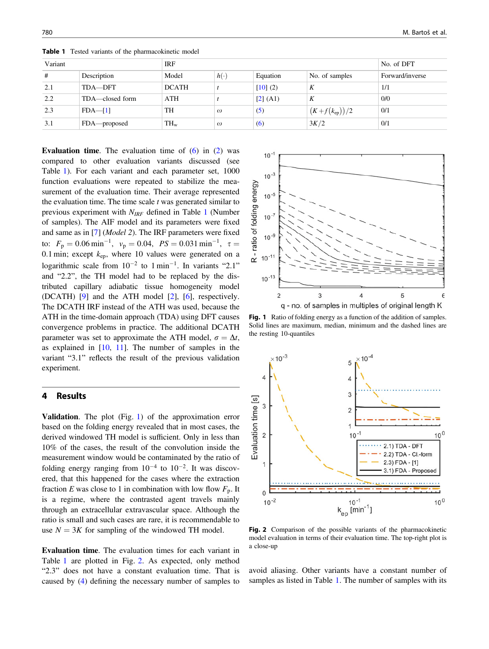| Variant |                 | IRF          |            |          |                     | No. of DFT      |
|---------|-----------------|--------------|------------|----------|---------------------|-----------------|
| #       | Description     | Model        | $h(\cdot)$ | Equation | No. of samples      | Forward/inverse |
| 2.1     | TDA-DFT         | <b>DCATH</b> |            | [10] (2) | K                   | 1/1             |
| 2.2     | TDA—closed form | ATH          |            | [2] (A1) | K                   | 0/0             |
| 2.3     | $FDA$ - [1]     | TH           | $\omega$   | (5)      | $(K + f(k_{ep}))/2$ | 0/1             |
| 3.1     | FDA—proposed    | $TH_{w}$     | $\omega$   | (6)      | 3K/2                | 0/1             |

**Table 1** Tested variants of the pharmacokinetic model

**Evaluation time.** The evaluation time of  $(6)$  $(6)$  in  $(2)$  $(2)$  was compared to other evaluation variants discussed (see Table 1). For each variant and each parameter set, 1000 function evaluations were repeated to stabilize the measurement of the evaluation time. Their average represented the evaluation time. The time scale  $t$  was generated similar to previous experiment with  $N_{IRF}$  defined in Table 1 (Number of samples). The AIF model and its parameters were fixed and same as in [[7\]](#page-4-0) (Model 2). The IRF parameters were fixed to:  $F_p = 0.06 \text{ min}^{-1}$ ,  $v_p = 0.04$ ,  $PS = 0.031 \text{ min}^{-1}$ ,  $\tau = 0.1 \text{ min}$ ; except k where 10 yellies were generated on a 0.1 min; except  $k_{ep}$ , where 10 values were generated on a logarithmic scale from  $10^{-2}$  to  $1 \text{ min}^{-1}$ . In variants "2.1" and "2.2", the TH model had to be replaced by the distributed capillary adiabatic tissue homogeneity model (DCATH) [[9\]](#page-4-0) and the ATH model [\[2](#page-4-0)], [\[6](#page-4-0)], respectively. The DCATH IRF instead of the ATH was used, because the ATH in the time-domain approach (TDA) using DFT causes convergence problems in practice. The additional DCATH parameter was set to approximate the ATH model,  $\sigma = \Delta t$ , as explained in  $[10, 11]$  $[10, 11]$  $[10, 11]$  $[10, 11]$ . The number of samples in the variant "3.1" reflects the result of the previous validation experiment.

### 4 Results

Validation. The plot (Fig. 1) of the approximation error based on the folding energy revealed that in most cases, the derived windowed TH model is sufficient. Only in less than 10% of the cases, the result of the convolution inside the measurement window would be contaminated by the ratio of folding energy ranging from  $10^{-4}$  to  $10^{-2}$ . It was discovered, that this happened for the cases where the extraction fraction E was close to 1 in combination with low flow  $F_p$ . It is a regime, where the contrasted agent travels mainly through an extracellular extravascular space. Although the ratio is small and such cases are rare, it is recommendable to use  $N = 3K$  for sampling of the windowed TH model.

Evaluation time. The evaluation times for each variant in Table 1 are plotted in Fig. 2. As expected, only method "2.3" does not have a constant evaluation time. That is caused by [\(4](#page-1-0)) defining the necessary number of samples to



Fig. 1 Ratio of folding energy as a function of the addition of samples. Solid lines are maximum, median, minimum and the dashed lines are the resting 10-quantiles



Fig. 2 Comparison of the possible variants of the pharmacokinetic model evaluation in terms of their evaluation time. The top-right plot is a close-up

avoid aliasing. Other variants have a constant number of samples as listed in Table 1. The number of samples with its